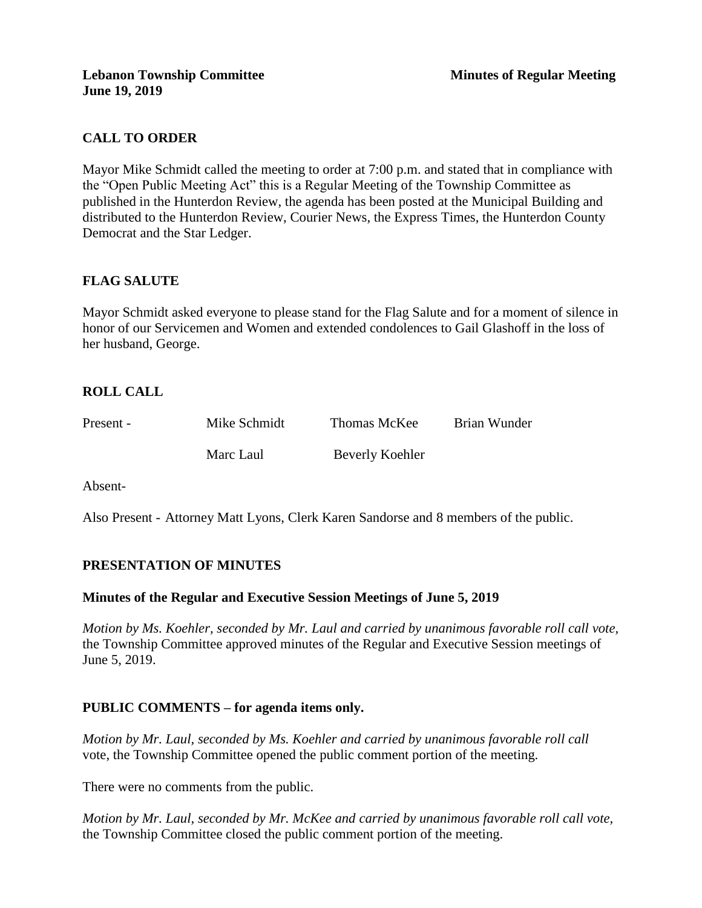# **CALL TO ORDER**

Mayor Mike Schmidt called the meeting to order at 7:00 p.m. and stated that in compliance with the "Open Public Meeting Act" this is a Regular Meeting of the Township Committee as published in the Hunterdon Review, the agenda has been posted at the Municipal Building and distributed to the Hunterdon Review, Courier News, the Express Times, the Hunterdon County Democrat and the Star Ledger.

# **FLAG SALUTE**

Mayor Schmidt asked everyone to please stand for the Flag Salute and for a moment of silence in honor of our Servicemen and Women and extended condolences to Gail Glashoff in the loss of her husband, George.

# **ROLL CALL**

| Present - | Mike Schmidt | Thomas McKee    | Brian Wunder |
|-----------|--------------|-----------------|--------------|
|           | Marc Laul    | Beverly Koehler |              |

Absent-

Also Present - Attorney Matt Lyons, Clerk Karen Sandorse and 8 members of the public.

# **PRESENTATION OF MINUTES**

### **Minutes of the Regular and Executive Session Meetings of June 5, 2019**

*Motion by Ms. Koehler, seconded by Mr. Laul and carried by unanimous favorable roll call vote,* the Township Committee approved minutes of the Regular and Executive Session meetings of June 5, 2019.

# **PUBLIC COMMENTS – for agenda items only.**

*Motion by Mr. Laul, seconded by Ms. Koehler and carried by unanimous favorable roll call*  vote, the Township Committee opened the public comment portion of the meeting.

There were no comments from the public.

*Motion by Mr. Laul, seconded by Mr. McKee and carried by unanimous favorable roll call vote,* the Township Committee closed the public comment portion of the meeting.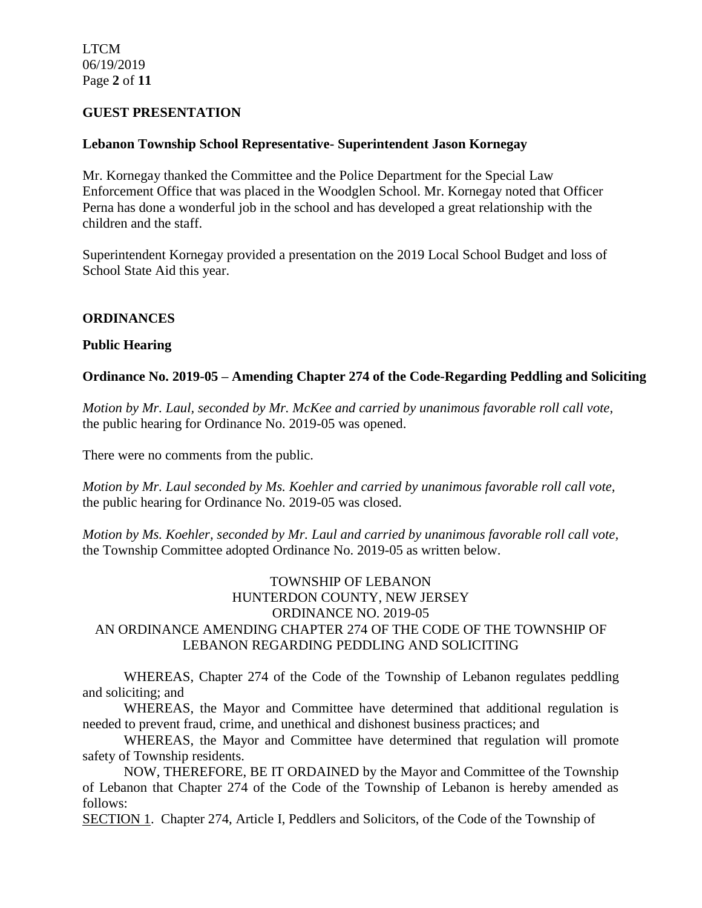LTCM 06/19/2019 Page **2** of **11**

### **GUEST PRESENTATION**

### **Lebanon Township School Representative- Superintendent Jason Kornegay**

Mr. Kornegay thanked the Committee and the Police Department for the Special Law Enforcement Office that was placed in the Woodglen School. Mr. Kornegay noted that Officer Perna has done a wonderful job in the school and has developed a great relationship with the children and the staff.

Superintendent Kornegay provided a presentation on the 2019 Local School Budget and loss of School State Aid this year.

### **ORDINANCES**

### **Public Hearing**

### **Ordinance No. 2019-05 – Amending Chapter 274 of the Code-Regarding Peddling and Soliciting**

*Motion by Mr. Laul, seconded by Mr. McKee and carried by unanimous favorable roll call vote*, the public hearing for Ordinance No. 2019-05 was opened.

There were no comments from the public.

*Motion by Mr. Laul seconded by Ms. Koehler and carried by unanimous favorable roll call vote,* the public hearing for Ordinance No. 2019-05 was closed.

*Motion by Ms. Koehler, seconded by Mr. Laul and carried by unanimous favorable roll call vote,*  the Township Committee adopted Ordinance No. 2019-05 as written below.

# TOWNSHIP OF LEBANON HUNTERDON COUNTY, NEW JERSEY ORDINANCE NO. 2019-05 AN ORDINANCE AMENDING CHAPTER 274 OF THE CODE OF THE TOWNSHIP OF LEBANON REGARDING PEDDLING AND SOLICITING

WHEREAS, Chapter 274 of the Code of the Township of Lebanon regulates peddling and soliciting; and

WHEREAS, the Mayor and Committee have determined that additional regulation is needed to prevent fraud, crime, and unethical and dishonest business practices; and

WHEREAS, the Mayor and Committee have determined that regulation will promote safety of Township residents.

NOW, THEREFORE, BE IT ORDAINED by the Mayor and Committee of the Township of Lebanon that Chapter 274 of the Code of the Township of Lebanon is hereby amended as follows:

SECTION 1. Chapter 274, Article I, Peddlers and Solicitors, of the Code of the Township of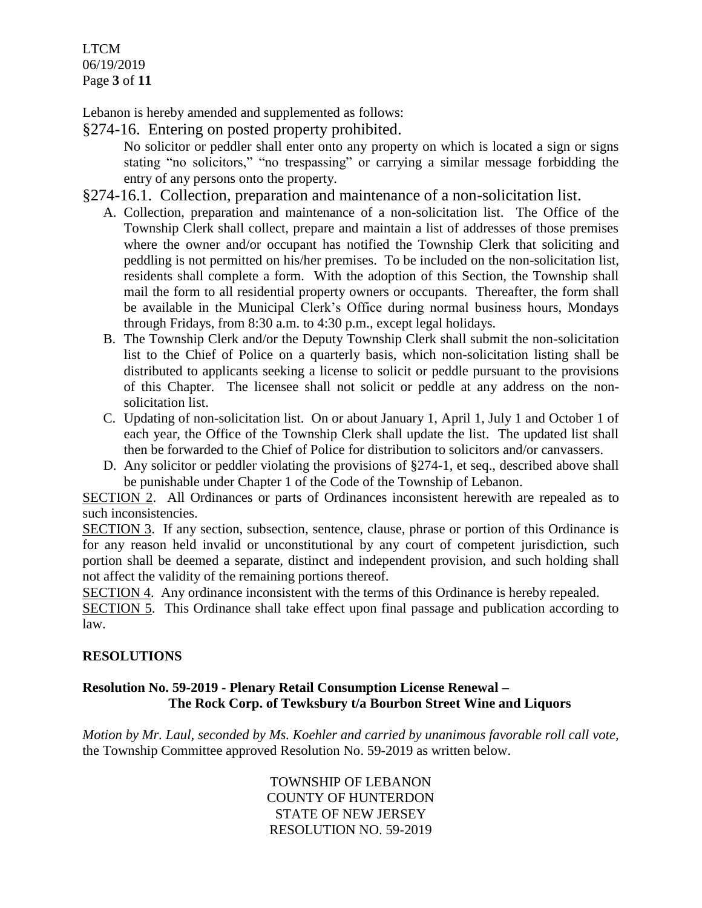LTCM 06/19/2019 Page **3** of **11**

Lebanon is hereby amended and supplemented as follows:

§274-16. Entering on posted property prohibited.

No solicitor or peddler shall enter onto any property on which is located a sign or signs stating "no solicitors," "no trespassing" or carrying a similar message forbidding the entry of any persons onto the property.

- §274-16.1. Collection, preparation and maintenance of a non-solicitation list.
	- A. Collection, preparation and maintenance of a non-solicitation list. The Office of the Township Clerk shall collect, prepare and maintain a list of addresses of those premises where the owner and/or occupant has notified the Township Clerk that soliciting and peddling is not permitted on his/her premises. To be included on the non-solicitation list, residents shall complete a form. With the adoption of this Section, the Township shall mail the form to all residential property owners or occupants. Thereafter, the form shall be available in the Municipal Clerk's Office during normal business hours, Mondays through Fridays, from 8:30 a.m. to 4:30 p.m., except legal holidays.
	- B. The Township Clerk and/or the Deputy Township Clerk shall submit the non-solicitation list to the Chief of Police on a quarterly basis, which non-solicitation listing shall be distributed to applicants seeking a license to solicit or peddle pursuant to the provisions of this Chapter. The licensee shall not solicit or peddle at any address on the nonsolicitation list.
	- C. Updating of non-solicitation list. On or about January 1, April 1, July 1 and October 1 of each year, the Office of the Township Clerk shall update the list. The updated list shall then be forwarded to the Chief of Police for distribution to solicitors and/or canvassers.
	- D. Any solicitor or peddler violating the provisions of §274-1, et seq., described above shall be punishable under Chapter 1 of the Code of the Township of Lebanon.

SECTION 2. All Ordinances or parts of Ordinances inconsistent herewith are repealed as to such inconsistencies.

SECTION 3. If any section, subsection, sentence, clause, phrase or portion of this Ordinance is for any reason held invalid or unconstitutional by any court of competent jurisdiction, such portion shall be deemed a separate, distinct and independent provision, and such holding shall not affect the validity of the remaining portions thereof.

SECTION 4. Any ordinance inconsistent with the terms of this Ordinance is hereby repealed.

SECTION 5. This Ordinance shall take effect upon final passage and publication according to law.

# **RESOLUTIONS**

# **Resolution No. 59-2019 - Plenary Retail Consumption License Renewal – The Rock Corp. of Tewksbury t/a Bourbon Street Wine and Liquors**

*Motion by Mr. Laul, seconded by Ms. Koehler and carried by unanimous favorable roll call vote,* the Township Committee approved Resolution No. 59-2019 as written below.

> TOWNSHIP OF LEBANON COUNTY OF HUNTERDON STATE OF NEW JERSEY RESOLUTION NO. 59-2019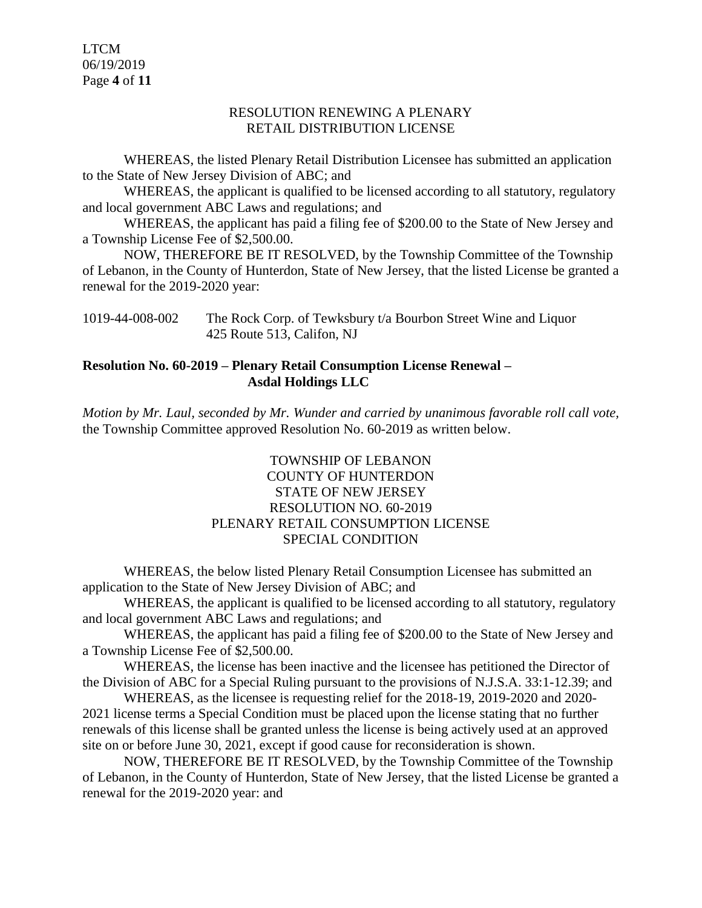LTCM 06/19/2019 Page **4** of **11**

#### RESOLUTION RENEWING A PLENARY RETAIL DISTRIBUTION LICENSE

WHEREAS, the listed Plenary Retail Distribution Licensee has submitted an application to the State of New Jersey Division of ABC; and

WHEREAS, the applicant is qualified to be licensed according to all statutory, regulatory and local government ABC Laws and regulations; and

WHEREAS, the applicant has paid a filing fee of \$200.00 to the State of New Jersey and a Township License Fee of \$2,500.00.

NOW, THEREFORE BE IT RESOLVED, by the Township Committee of the Township of Lebanon, in the County of Hunterdon, State of New Jersey, that the listed License be granted a renewal for the 2019-2020 year:

1019-44-008-002 The Rock Corp. of Tewksbury t/a Bourbon Street Wine and Liquor 425 Route 513, Califon, NJ

### **Resolution No. 60-2019 – Plenary Retail Consumption License Renewal – Asdal Holdings LLC**

*Motion by Mr. Laul, seconded by Mr. Wunder and carried by unanimous favorable roll call vote,* the Township Committee approved Resolution No. 60-2019 as written below.

# TOWNSHIP OF LEBANON COUNTY OF HUNTERDON STATE OF NEW JERSEY RESOLUTION NO. 60-2019 PLENARY RETAIL CONSUMPTION LICENSE SPECIAL CONDITION

WHEREAS, the below listed Plenary Retail Consumption Licensee has submitted an application to the State of New Jersey Division of ABC; and

WHEREAS, the applicant is qualified to be licensed according to all statutory, regulatory and local government ABC Laws and regulations; and

WHEREAS, the applicant has paid a filing fee of \$200.00 to the State of New Jersey and a Township License Fee of \$2,500.00.

WHEREAS, the license has been inactive and the licensee has petitioned the Director of the Division of ABC for a Special Ruling pursuant to the provisions of N.J.S.A. 33:1-12.39; and

WHEREAS, as the licensee is requesting relief for the 2018-19, 2019-2020 and 2020- 2021 license terms a Special Condition must be placed upon the license stating that no further renewals of this license shall be granted unless the license is being actively used at an approved site on or before June 30, 2021, except if good cause for reconsideration is shown.

NOW, THEREFORE BE IT RESOLVED, by the Township Committee of the Township of Lebanon, in the County of Hunterdon, State of New Jersey, that the listed License be granted a renewal for the 2019-2020 year: and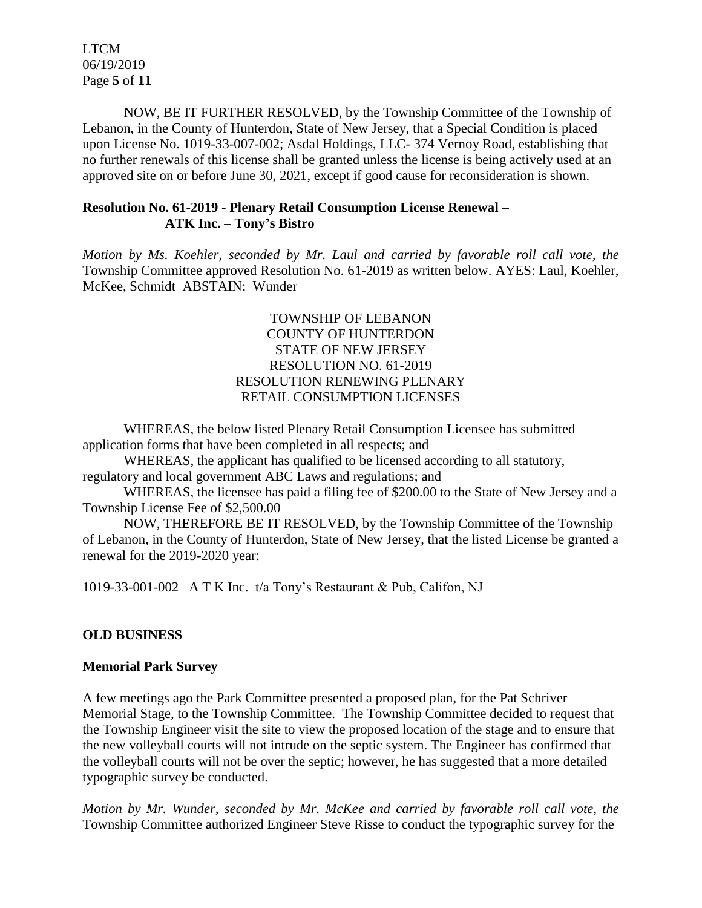LTCM 06/19/2019 Page **5** of **11**

NOW, BE IT FURTHER RESOLVED, by the Township Committee of the Township of Lebanon, in the County of Hunterdon, State of New Jersey, that a Special Condition is placed upon License No. 1019-33-007-002; Asdal Holdings, LLC- 374 Vernoy Road, establishing that no further renewals of this license shall be granted unless the license is being actively used at an approved site on or before June 30, 2021, except if good cause for reconsideration is shown.

### **Resolution No. 61-2019 - Plenary Retail Consumption License Renewal – ATK Inc. – Tony's Bistro**

*Motion by Ms. Koehler, seconded by Mr. Laul and carried by favorable roll call vote, the* Township Committee approved Resolution No. 61-2019 as written below. AYES: Laul, Koehler, McKee, Schmidt ABSTAIN: Wunder

### TOWNSHIP OF LEBANON COUNTY OF HUNTERDON STATE OF NEW JERSEY RESOLUTION NO. 61-2019 RESOLUTION RENEWING PLENARY RETAIL CONSUMPTION LICENSES

WHEREAS, the below listed Plenary Retail Consumption Licensee has submitted application forms that have been completed in all respects; and

WHEREAS, the applicant has qualified to be licensed according to all statutory, regulatory and local government ABC Laws and regulations; and

WHEREAS, the licensee has paid a filing fee of \$200.00 to the State of New Jersey and a Township License Fee of \$2,500.00

NOW, THEREFORE BE IT RESOLVED, by the Township Committee of the Township of Lebanon, in the County of Hunterdon, State of New Jersey, that the listed License be granted a renewal for the 2019-2020 year:

1019-33-001-002 A T K Inc. t/a Tony's Restaurant & Pub, Califon, NJ

# **OLD BUSINESS**

# **Memorial Park Survey**

A few meetings ago the Park Committee presented a proposed plan, for the Pat Schriver Memorial Stage, to the Township Committee. The Township Committee decided to request that the Township Engineer visit the site to view the proposed location of the stage and to ensure that the new volleyball courts will not intrude on the septic system. The Engineer has confirmed that the volleyball courts will not be over the septic; however, he has suggested that a more detailed typographic survey be conducted.

*Motion by Mr. Wunder, seconded by Mr. McKee and carried by favorable roll call vote, the* Township Committee authorized Engineer Steve Risse to conduct the typographic survey for the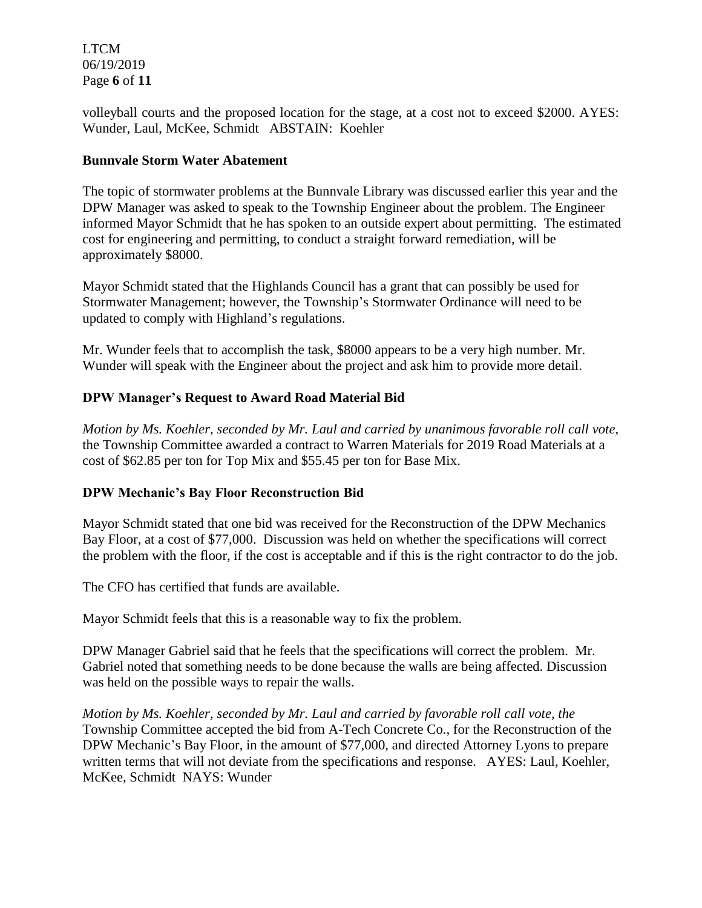LTCM 06/19/2019 Page **6** of **11**

volleyball courts and the proposed location for the stage, at a cost not to exceed \$2000. AYES: Wunder, Laul, McKee, Schmidt ABSTAIN: Koehler

### **Bunnvale Storm Water Abatement**

The topic of stormwater problems at the Bunnvale Library was discussed earlier this year and the DPW Manager was asked to speak to the Township Engineer about the problem. The Engineer informed Mayor Schmidt that he has spoken to an outside expert about permitting. The estimated cost for engineering and permitting, to conduct a straight forward remediation, will be approximately \$8000.

Mayor Schmidt stated that the Highlands Council has a grant that can possibly be used for Stormwater Management; however, the Township's Stormwater Ordinance will need to be updated to comply with Highland's regulations.

Mr. Wunder feels that to accomplish the task, \$8000 appears to be a very high number. Mr. Wunder will speak with the Engineer about the project and ask him to provide more detail.

# **DPW Manager's Request to Award Road Material Bid**

*Motion by Ms. Koehler, seconded by Mr. Laul and carried by unanimous favorable roll call vote,* the Township Committee awarded a contract to Warren Materials for 2019 Road Materials at a cost of \$62.85 per ton for Top Mix and \$55.45 per ton for Base Mix.

# **DPW Mechanic's Bay Floor Reconstruction Bid**

Mayor Schmidt stated that one bid was received for the Reconstruction of the DPW Mechanics Bay Floor, at a cost of \$77,000. Discussion was held on whether the specifications will correct the problem with the floor, if the cost is acceptable and if this is the right contractor to do the job.

The CFO has certified that funds are available.

Mayor Schmidt feels that this is a reasonable way to fix the problem.

DPW Manager Gabriel said that he feels that the specifications will correct the problem. Mr. Gabriel noted that something needs to be done because the walls are being affected. Discussion was held on the possible ways to repair the walls.

*Motion by Ms. Koehler, seconded by Mr. Laul and carried by favorable roll call vote, the* Township Committee accepted the bid from A-Tech Concrete Co., for the Reconstruction of the DPW Mechanic's Bay Floor, in the amount of \$77,000, and directed Attorney Lyons to prepare written terms that will not deviate from the specifications and response. AYES: Laul, Koehler, McKee, Schmidt NAYS: Wunder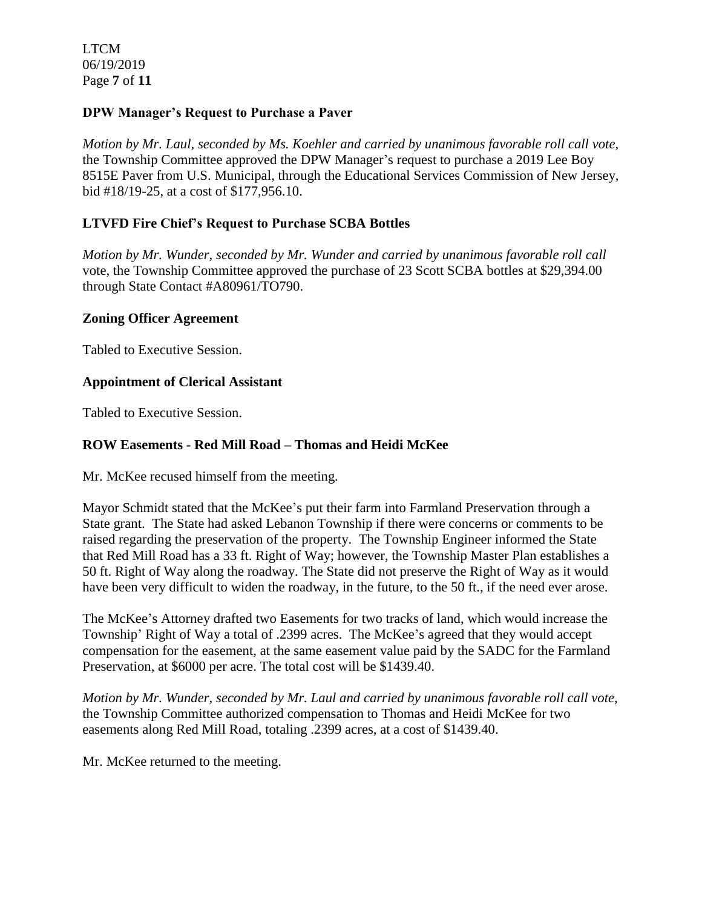LTCM 06/19/2019 Page **7** of **11**

### **DPW Manager's Request to Purchase a Paver**

*Motion by Mr. Laul, seconded by Ms. Koehler and carried by unanimous favorable roll call vote,* the Township Committee approved the DPW Manager's request to purchase a 2019 Lee Boy 8515E Paver from U.S. Municipal, through the Educational Services Commission of New Jersey, bid #18/19-25, at a cost of \$177,956.10.

### **LTVFD Fire Chief's Request to Purchase SCBA Bottles**

*Motion by Mr. Wunder, seconded by Mr. Wunder and carried by unanimous favorable roll call*  vote, the Township Committee approved the purchase of 23 Scott SCBA bottles at \$29,394.00 through State Contact #A80961/TO790.

### **Zoning Officer Agreement**

Tabled to Executive Session.

#### **Appointment of Clerical Assistant**

Tabled to Executive Session.

### **ROW Easements - Red Mill Road – Thomas and Heidi McKee**

Mr. McKee recused himself from the meeting.

Mayor Schmidt stated that the McKee's put their farm into Farmland Preservation through a State grant. The State had asked Lebanon Township if there were concerns or comments to be raised regarding the preservation of the property. The Township Engineer informed the State that Red Mill Road has a 33 ft. Right of Way; however, the Township Master Plan establishes a 50 ft. Right of Way along the roadway. The State did not preserve the Right of Way as it would have been very difficult to widen the roadway, in the future, to the 50 ft., if the need ever arose.

The McKee's Attorney drafted two Easements for two tracks of land, which would increase the Township' Right of Way a total of .2399 acres. The McKee's agreed that they would accept compensation for the easement, at the same easement value paid by the SADC for the Farmland Preservation, at \$6000 per acre. The total cost will be \$1439.40.

*Motion by Mr. Wunder, seconded by Mr. Laul and carried by unanimous favorable roll call vote,* the Township Committee authorized compensation to Thomas and Heidi McKee for two easements along Red Mill Road, totaling .2399 acres, at a cost of \$1439.40.

Mr. McKee returned to the meeting.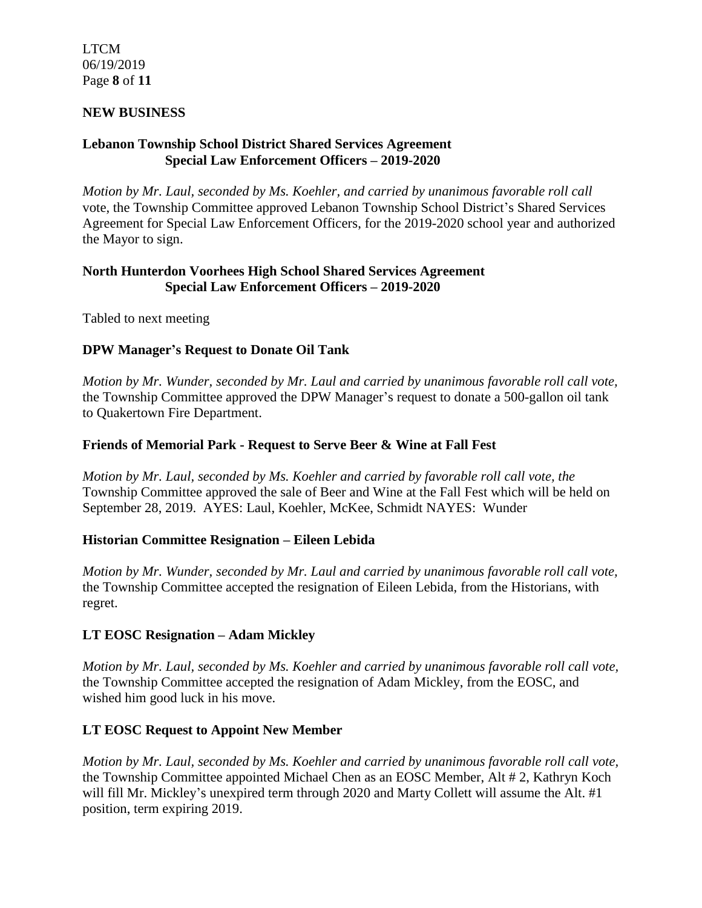LTCM 06/19/2019 Page **8** of **11**

### **NEW BUSINESS**

# **Lebanon Township School District Shared Services Agreement Special Law Enforcement Officers – 2019-2020**

*Motion by Mr. Laul, seconded by Ms. Koehler, and carried by unanimous favorable roll call*  vote, the Township Committee approved Lebanon Township School District's Shared Services Agreement for Special Law Enforcement Officers, for the 2019-2020 school year and authorized the Mayor to sign.

### **North Hunterdon Voorhees High School Shared Services Agreement Special Law Enforcement Officers – 2019-2020**

Tabled to next meeting

# **DPW Manager's Request to Donate Oil Tank**

*Motion by Mr. Wunder, seconded by Mr. Laul and carried by unanimous favorable roll call vote,* the Township Committee approved the DPW Manager's request to donate a 500-gallon oil tank to Quakertown Fire Department.

### **Friends of Memorial Park - Request to Serve Beer & Wine at Fall Fest**

*Motion by Mr. Laul, seconded by Ms. Koehler and carried by favorable roll call vote, the* Township Committee approved the sale of Beer and Wine at the Fall Fest which will be held on September 28, 2019. AYES: Laul, Koehler, McKee, Schmidt NAYES: Wunder

### **Historian Committee Resignation – Eileen Lebida**

*Motion by Mr. Wunder, seconded by Mr. Laul and carried by unanimous favorable roll call vote,* the Township Committee accepted the resignation of Eileen Lebida, from the Historians, with regret.

# **LT EOSC Resignation – Adam Mickley**

*Motion by Mr. Laul, seconded by Ms. Koehler and carried by unanimous favorable roll call vote,* the Township Committee accepted the resignation of Adam Mickley, from the EOSC, and wished him good luck in his move.

### **LT EOSC Request to Appoint New Member**

*Motion by Mr. Laul, seconded by Ms. Koehler and carried by unanimous favorable roll call vote,* the Township Committee appointed Michael Chen as an EOSC Member, Alt # 2, Kathryn Koch will fill Mr. Mickley's unexpired term through 2020 and Marty Collett will assume the Alt. #1 position, term expiring 2019.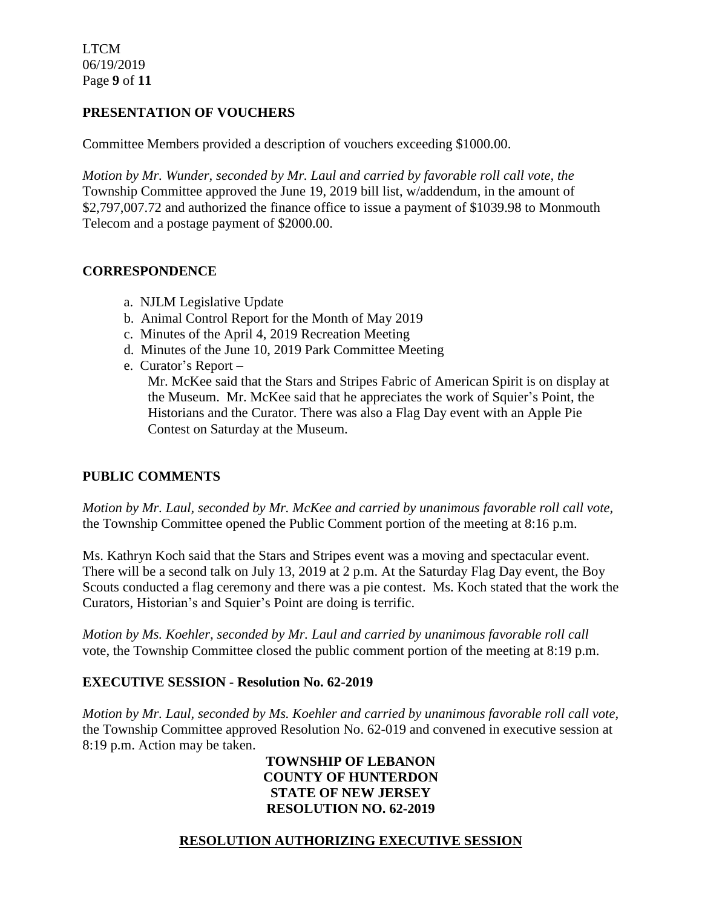LTCM 06/19/2019 Page **9** of **11**

### **PRESENTATION OF VOUCHERS**

Committee Members provided a description of vouchers exceeding \$1000.00.

*Motion by Mr. Wunder, seconded by Mr. Laul and carried by favorable roll call vote, the* Township Committee approved the June 19, 2019 bill list, w/addendum, in the amount of \$2,797,007.72 and authorized the finance office to issue a payment of \$1039.98 to Monmouth Telecom and a postage payment of \$2000.00.

### **CORRESPONDENCE**

- a. NJLM Legislative Update
- b. Animal Control Report for the Month of May 2019
- c. Minutes of the April 4, 2019 Recreation Meeting
- d. Minutes of the June 10, 2019 Park Committee Meeting
- e. Curator's Report –

 Mr. McKee said that the Stars and Stripes Fabric of American Spirit is on display at the Museum. Mr. McKee said that he appreciates the work of Squier's Point, the Historians and the Curator. There was also a Flag Day event with an Apple Pie Contest on Saturday at the Museum.

### **PUBLIC COMMENTS**

*Motion by Mr. Laul, seconded by Mr. McKee and carried by unanimous favorable roll call vote,* the Township Committee opened the Public Comment portion of the meeting at 8:16 p.m.

Ms. Kathryn Koch said that the Stars and Stripes event was a moving and spectacular event. There will be a second talk on July 13, 2019 at 2 p.m. At the Saturday Flag Day event, the Boy Scouts conducted a flag ceremony and there was a pie contest. Ms. Koch stated that the work the Curators, Historian's and Squier's Point are doing is terrific.

*Motion by Ms. Koehler, seconded by Mr. Laul and carried by unanimous favorable roll call*  vote, the Township Committee closed the public comment portion of the meeting at 8:19 p.m.

### **EXECUTIVE SESSION - Resolution No. 62-2019**

*Motion by Mr. Laul, seconded by Ms. Koehler and carried by unanimous favorable roll call vote,* the Township Committee approved Resolution No. 62-019 and convened in executive session at 8:19 p.m. Action may be taken.

### **TOWNSHIP OF LEBANON COUNTY OF HUNTERDON STATE OF NEW JERSEY RESOLUTION NO. 62-2019**

# **RESOLUTION AUTHORIZING EXECUTIVE SESSION**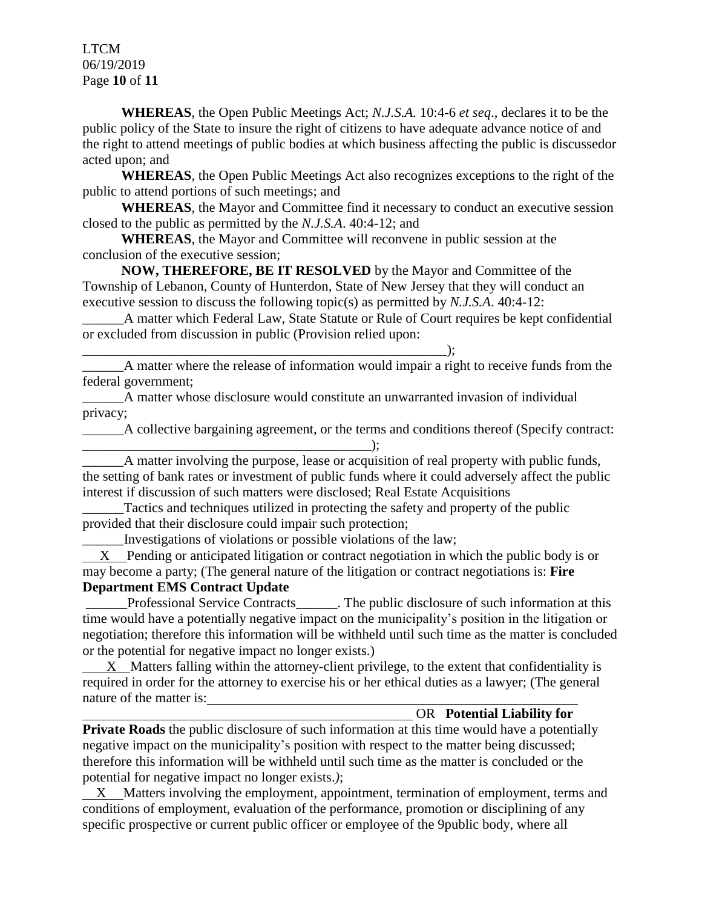LTCM 06/19/2019 Page **10** of **11**

**WHEREAS**, the Open Public Meetings Act; *N.J.S.A.* 10:4-6 *et seq*., declares it to be the public policy of the State to insure the right of citizens to have adequate advance notice of and the right to attend meetings of public bodies at which business affecting the public is discussedor acted upon; and

**WHEREAS**, the Open Public Meetings Act also recognizes exceptions to the right of the public to attend portions of such meetings; and

**WHEREAS**, the Mayor and Committee find it necessary to conduct an executive session closed to the public as permitted by the *N.J.S.A*. 40:4-12; and

**WHEREAS**, the Mayor and Committee will reconvene in public session at the conclusion of the executive session;

**NOW, THEREFORE, BE IT RESOLVED** by the Mayor and Committee of the Township of Lebanon, County of Hunterdon, State of New Jersey that they will conduct an executive session to discuss the following topic(s) as permitted by *N.J.S.A*. 40:4-12:

\_\_\_\_\_\_A matter which Federal Law, State Statute or Rule of Court requires be kept confidential or excluded from discussion in public (Provision relied upon:

\_\_\_\_\_\_\_\_\_\_\_\_\_\_\_\_\_\_\_\_\_\_\_\_\_\_\_\_\_\_\_\_\_\_\_\_\_\_\_\_\_\_\_\_\_\_\_\_\_\_\_\_\_); \_\_\_\_\_\_A matter where the release of information would impair a right to receive funds from the federal government;

\_\_\_\_\_\_A matter whose disclosure would constitute an unwarranted invasion of individual privacy;

A collective bargaining agreement, or the terms and conditions thereof (Specify contract:  $\qquad \qquad )$ ;

A matter involving the purpose, lease or acquisition of real property with public funds, the setting of bank rates or investment of public funds where it could adversely affect the public interest if discussion of such matters were disclosed; Real Estate Acquisitions

Tactics and techniques utilized in protecting the safety and property of the public provided that their disclosure could impair such protection;

\_\_\_\_\_\_Investigations of violations or possible violations of the law;

 X Pending or anticipated litigation or contract negotiation in which the public body is or may become a party; (The general nature of the litigation or contract negotiations is: **Fire Department EMS Contract Update**

Professional Service Contracts\_\_\_\_\_\_. The public disclosure of such information at this time would have a potentially negative impact on the municipality's position in the litigation or negotiation; therefore this information will be withheld until such time as the matter is concluded or the potential for negative impact no longer exists.)

 X Matters falling within the attorney-client privilege, to the extent that confidentiality is required in order for the attorney to exercise his or her ethical duties as a lawyer; (The general nature of the matter is:

### OR **Potential Liability for**

**Private Roads** the public disclosure of such information at this time would have a potentially negative impact on the municipality's position with respect to the matter being discussed; therefore this information will be withheld until such time as the matter is concluded or the potential for negative impact no longer exists.*)*;

 XMatters involving the employment, appointment, termination of employment, terms and conditions of employment, evaluation of the performance, promotion or disciplining of any specific prospective or current public officer or employee of the 9public body, where all